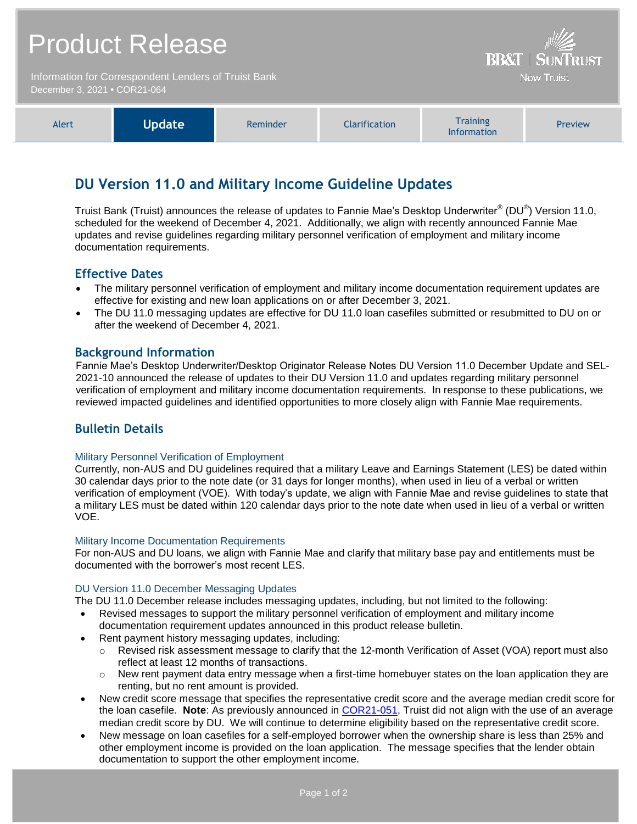|                                                                                      | <b>Product Release</b> | <b>BB&amp;T   SUNTRUST</b> |                      |                                       |         |
|--------------------------------------------------------------------------------------|------------------------|----------------------------|----------------------|---------------------------------------|---------|
| Information for Correspondent Lenders of Truist Bank<br>December 3, 2021 . COR21-064 |                        |                            |                      | <b>Now Truist</b>                     |         |
| Alert                                                                                | <b>Update</b>          | Reminder                   | <b>Clarification</b> | <b>Training</b><br><b>Information</b> | Preview |

# **DU Version 11.0 and Military Income Guideline Updates**

Truist Bank (Truist) announces the release of updates to Fannie Mae's Desktop Underwriter® (DU®) Version 11.0, scheduled for the weekend of December 4, 2021. Additionally, we align with recently announced Fannie Mae updates and revise guidelines regarding military personnel verification of employment and military income documentation requirements.

## **Effective Dates**

- The military personnel verification of employment and military income documentation requirement updates are effective for existing and new loan applications on or after December 3, 2021.
- The DU 11.0 messaging updates are effective for DU 11.0 loan casefiles submitted or resubmitted to DU on or after the weekend of December 4, 2021.

## **Background Information**

Fannie Mae's Desktop Underwriter/Desktop Originator Release Notes DU Version 11.0 December Update and SEL-2021-10 announced the release of updates to their DU Version 11.0 and updates regarding military personnel verification of employment and military income documentation requirements. In response to these publications, we reviewed impacted guidelines and identified opportunities to more closely align with Fannie Mae requirements.

# **Bulletin Details**

### Military Personnel Verification of Employment

Currently, non-AUS and DU guidelines required that a military Leave and Earnings Statement (LES) be dated within 30 calendar days prior to the note date (or 31 days for longer months), when used in lieu of a verbal or written verification of employment (VOE). With today's update, we align with Fannie Mae and revise guidelines to state that a military LES must be dated within 120 calendar days prior to the note date when used in lieu of a verbal or written VOE.

### **Military Income Documentation Requirements**

For non-AUS and DU loans, we align with Fannie Mae and clarify that military base pay and entitlements must be documented with the borrower's most recent LES.

### DU Version 11.0 December Messaging Updates

The DU 11.0 December release includes messaging updates, including, but not limited to the following:

- Revised messages to support the military personnel verification of employment and military income documentation requirement updates announced in this product release bulletin.
- Rent payment history messaging updates, including:
	- o Revised risk assessment message to clarify that the 12-month Verification of Asset (VOA) report must also reflect at least 12 months of transactions.
	- $\circ$  New rent payment data entry message when a first-time homebuyer states on the loan application they are renting, but no rent amount is provided.
- New credit score message that specifies the representative credit score and the average median credit score for the loan casefile. **Note**: As previously announced in [COR21-051,](https://www.truistsellerguide.com/Manual/cor/bulletins/archive/Cr21-051.pdf) Truist did not align with the use of an average median credit score by DU. We will continue to determine eligibility based on the representative credit score.
- New message on loan casefiles for a self-employed borrower when the ownership share is less than 25% and other employment income is provided on the loan application. The message specifies that the lender obtain documentation to support the other employment income.